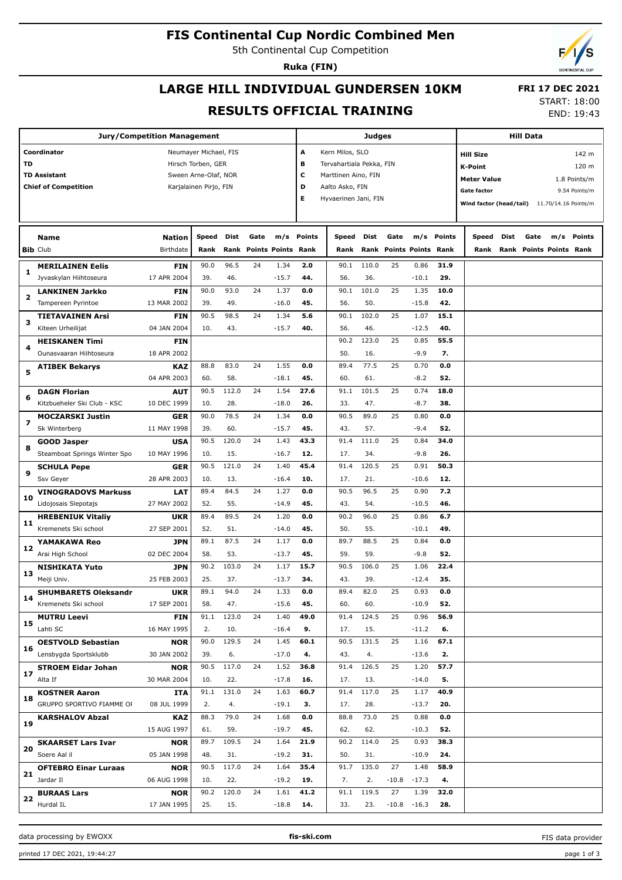## **FIS Continental Cup Nordic Combined Men**

5th Continental Cup Competition

**Ruka (FIN)**

## **LARGE HILL INDIVIDUAL GUNDERSEN 10KM RESULTS OFFICIAL TRAINING**

 **FRI 17 DEC 2021** START: 18:00

END: 19:43

| <b>Jury/Competition Management</b>   |                                                  |                           |                        |       |      |                           |            |                          | Judges |         |                         | <b>Hill Data</b> |                         |      |                                |                      |               |
|--------------------------------------|--------------------------------------------------|---------------------------|------------------------|-------|------|---------------------------|------------|--------------------------|--------|---------|-------------------------|------------------|-------------------------|------|--------------------------------|----------------------|---------------|
| Coordinator<br>Neumayer Michael, FIS |                                                  |                           |                        |       |      |                           | А          | Kern Milos, SLO          |        |         |                         |                  | <b>Hill Size</b>        |      |                                |                      | 142 m         |
| TD                                   | Hirsch Torben, GER                               |                           |                        |       |      |                           | в          | Tervahartiala Pekka, FIN |        |         |                         |                  | <b>K-Point</b>          |      |                                |                      | 120 m         |
|                                      | <b>TD Assistant</b>                              |                           | Sween Arne-Olaf, NOR   |       |      |                           | с          | Marttinen Aino, FIN      |        |         |                         |                  |                         |      |                                |                      |               |
|                                      | <b>Chief of Competition</b>                      |                           | Karjalainen Pirjo, FIN |       |      |                           | D          | Aalto Asko, FIN          |        |         |                         |                  | <b>Meter Value</b>      |      |                                |                      | 1.8 Points/m  |
|                                      |                                                  |                           |                        |       |      |                           | Е          | Hyvaerinen Jani, FIN     |        |         |                         |                  | <b>Gate factor</b>      |      |                                |                      | 9.54 Points/m |
|                                      |                                                  |                           |                        |       |      |                           |            |                          |        |         |                         |                  | Wind factor (head/tail) |      |                                | 11.70/14.16 Points/m |               |
|                                      |                                                  |                           |                        |       |      |                           |            |                          |        |         |                         |                  |                         |      |                                |                      |               |
|                                      | <b>Name</b>                                      | <b>Nation</b>             | <b>Speed</b>           | Dist  | Gate |                           | m/s Points | Speed                    | Dist   | Gate    |                         | m/s Points       | Speed                   | Dist | Gate                           | m/s Points           |               |
|                                      | <b>Bib Club</b>                                  | Birthdate                 | Rank                   | Rank  |      | <b>Points Points Rank</b> |            | Rank                     |        |         | Rank Points Points Rank |                  | Rank                    |      | <b>Rank Points Points Rank</b> |                      |               |
|                                      | <b>MERILAINEN Eelis</b>                          | <b>FIN</b>                | 90.0                   | 96.5  | 24   | 1.34                      | 2.0        | 90.1                     | 110.0  | 25      | 0.86                    | 31.9             |                         |      |                                |                      |               |
| 1                                    | Jyvaskylan Hiihtoseura                           | 17 APR 2004               | 39.                    | 46.   |      | $-15.7$                   | 44.        | 56.                      | 36.    |         | $-10.1$                 | 29.              |                         |      |                                |                      |               |
|                                      | <b>LANKINEN Jarkko</b>                           | <b>FIN</b>                | 90.0                   | 93.0  | 24   | 1.37                      | 0.0        | 90.1                     | 101.0  | 25      | 1.35                    | 10.0             |                         |      |                                |                      |               |
| 2                                    | Tampereen Pyrintoe                               | 13 MAR 2002               | 39.                    | 49.   |      | $-16.0$                   | 45.        | 56.                      | 50.    |         | $-15.8$                 | 42.              |                         |      |                                |                      |               |
|                                      | <b>TIETAVAINEN Arsi</b>                          | <b>FIN</b>                | 90.5                   | 98.5  | 24   | 1.34                      | 5.6        | 90.1                     | 102.0  | 25      | 1.07                    | 15.1             |                         |      |                                |                      |               |
| з                                    | Kiteen Urheilijat                                | 04 JAN 2004               | 10.                    | 43.   |      | $-15.7$                   | 40.        | 56.                      | 46.    |         | $-12.5$                 | 40.              |                         |      |                                |                      |               |
|                                      | <b>HEISKANEN Timi</b>                            | <b>FIN</b>                |                        |       |      |                           |            | 90.2                     | 123.0  | 25      | 0.85                    | 55.5             |                         |      |                                |                      |               |
| 4                                    | Ounasvaaran Hiihtoseura                          | 18 APR 2002               |                        |       |      |                           |            | 50.                      | 16.    |         | $-9.9$                  | 7.               |                         |      |                                |                      |               |
|                                      |                                                  | <b>KAZ</b>                | 88.8                   | 83.0  | 24   | 1.55                      | 0.0        | 89.4                     | 77.5   | 25      | 0.70                    | 0.0              |                         |      |                                |                      |               |
| 5                                    | <b>ATIBEK Bekarys</b>                            | 04 APR 2003               | 60.                    | 58.   |      | $-18.1$                   | 45.        | 60.                      | 61.    |         | $-8.2$                  | 52.              |                         |      |                                |                      |               |
|                                      | <b>DAGN Florian</b>                              | AUT                       | 90.5                   | 112.0 | 24   | 1.54                      | 27.6       | 91.1                     | 101.5  | 25      | 0.74                    | 18.0             |                         |      |                                |                      |               |
| 6                                    | Kitzbueheler Ski Club - KSC                      | 10 DEC 1999               | 10.                    | 28.   |      | $-18.0$                   | 26.        | 33.                      | 47.    |         | $-8.7$                  | 38.              |                         |      |                                |                      |               |
|                                      | <b>MOCZARSKI Justin</b>                          | GER                       | 90.0                   | 78.5  | 24   | 1.34                      | 0.0        | 90.5                     | 89.0   | 25      | 0.80                    | 0.0              |                         |      |                                |                      |               |
| 7                                    | Sk Winterberg                                    | 11 MAY 1998               | 39.                    | 60.   |      | $-15.7$                   | 45.        | 43.                      | 57.    |         | $-9.4$                  | 52.              |                         |      |                                |                      |               |
|                                      | <b>GOOD Jasper</b>                               | <b>USA</b>                | 90.5                   | 120.0 | 24   | 1.43                      | 43.3       | 91.4                     | 111.0  | 25      | 0.84                    | 34.0             |                         |      |                                |                      |               |
| 8                                    | Steamboat Springs Winter Spo                     | 10 MAY 1996               | 10.                    | 15.   |      | $-16.7$                   | 12.        | 17.                      | 34.    |         | $-9.8$                  | 26.              |                         |      |                                |                      |               |
|                                      |                                                  | <b>GER</b>                | 90.5                   | 121.0 | 24   | 1.40                      | 45.4       | 91.4                     | 120.5  | 25      | 0.91                    | 50.3             |                         |      |                                |                      |               |
| 9                                    | <b>SCHULA Pepe</b><br>Ssv Geyer                  | 28 APR 2003               | 10.                    | 13.   |      | $-16.4$                   | 10.        | 17.                      | 21.    |         | $-10.6$                 | 12.              |                         |      |                                |                      |               |
|                                      |                                                  |                           | 89.4                   | 84.5  | 24   | 1.27                      | 0.0        | 90.5                     | 96.5   | 25      | 0.90                    | 7.2              |                         |      |                                |                      |               |
| 10                                   | <b>VINOGRADOVS Markuss</b>                       | <b>LAT</b><br>27 MAY 2002 | 52.                    | 55.   |      | $-14.9$                   | 45.        | 43.                      | 54.    |         | $-10.5$                 | 46.              |                         |      |                                |                      |               |
|                                      | Lidojosais Slepotajs                             |                           | 89.4                   | 89.5  | 24   |                           | 0.0        | 90.2                     | 96.0   | 25      | 0.86                    | 6.7              |                         |      |                                |                      |               |
| 11                                   | <b>HREBENIUK Vitaliy</b><br>Kremenets Ski school | <b>UKR</b><br>27 SEP 2001 | 52.                    | 51.   |      | 1.20<br>$-14.0$           | 45.        | 50.                      | 55.    |         | $-10.1$                 | 49.              |                         |      |                                |                      |               |
|                                      |                                                  |                           | 89.1                   | 87.5  |      |                           | 0.0        | 89.7                     | 88.5   | 25      |                         | 0.0              |                         |      |                                |                      |               |
| 12                                   | <b>YAMAKAWA Reo</b>                              | <b>JPN</b>                |                        |       | 24   | 1.17                      |            |                          |        |         | 0.84                    |                  |                         |      |                                |                      |               |
|                                      | Arai High School                                 | 02 DEC 2004               | 58.                    | 53.   |      | $-13.7$                   | 45.        | 59.                      | 59.    |         | $-9.8$                  | 52.              |                         |      |                                |                      |               |
| 13                                   | <b>NISHIKATA Yuto</b>                            | <b>JPN</b>                | 90.2                   | 103.0 | 24   | 1.17                      | 15.7       | 90.5                     | 106.0  | 25      | 1.06                    | 22.4             |                         |      |                                |                      |               |
|                                      | Meiji Univ.                                      | 25 FEB 2003               | 25.                    | 37.   |      | $-13.7$                   | 34.        | 43.                      | 39.    |         | $-12.4$                 | 35.              |                         |      |                                |                      |               |
| 14                                   | <b>SHUMBARETS Oleksandr</b>                      | <b>UKR</b>                | 89.1                   | 94.0  | 24   | 1.33                      | 0.0        | 89.4                     | 82.0   | 25      | 0.93                    | 0.0              |                         |      |                                |                      |               |
|                                      | Kremenets Ski school                             | 17 SEP 2001               | 58.                    | 47.   |      | $-15.6$                   | 45.        | 60.                      | 60.    |         | $-10.9$                 | 52.              |                         |      |                                |                      |               |
| 15                                   | <b>MUTRU Leevi</b>                               | <b>FIN</b>                | 91.1                   | 123.0 | 24   | 1.40                      | 49.0       | 91.4                     | 124.5  | 25      | 0.96                    | 56.9             |                         |      |                                |                      |               |
|                                      | Lahti SC                                         | 16 MAY 1995               | 2.                     | 10.   |      | $-16.4$                   | 9.         | 17.                      | 15.    |         | $-11.2$                 | 6.               |                         |      |                                |                      |               |
| 16                                   | <b>OESTVOLD Sebastian</b>                        | <b>NOR</b>                | 90.0                   | 129.5 | 24   | 1.45                      | 60.1       | 90.5                     | 131.5  | 25      | 1.16                    | 67.1             |                         |      |                                |                      |               |
|                                      | Lensbygda Sportsklubb                            | 30 JAN 2002               | 39.                    | 6.    |      | $-17.0$                   | 4.         | 43.                      | 4.     |         | $-13.6$                 | 2.               |                         |      |                                |                      |               |
| 17                                   | <b>STROEM Eidar Johan</b>                        | <b>NOR</b>                | 90.5                   | 117.0 | 24   | 1.52                      | 36.8       | 91.4                     | 126.5  | 25      | 1.20                    | 57.7             |                         |      |                                |                      |               |
|                                      | Alta If                                          | 30 MAR 2004               | 10.                    | 22.   |      | $-17.8$                   | 16.        | 17.                      | 13.    |         | $-14.0$                 | 5.               |                         |      |                                |                      |               |
| 18                                   | <b>KOSTNER Aaron</b>                             | <b>ITA</b>                | 91.1                   | 131.0 | 24   | 1.63                      | 60.7       | 91.4                     | 117.0  | 25      | 1.17                    | 40.9             |                         |      |                                |                      |               |
|                                      | GRUPPO SPORTIVO FIAMME OF                        | 08 JUL 1999               | 2.                     | 4.    |      | $-19.1$                   | з.         | 17.                      | 28.    |         | $-13.7$                 | 20.              |                         |      |                                |                      |               |
| 19                                   | <b>KARSHALOV Abzal</b>                           | KAZ                       | 88.3                   | 79.0  | 24   | 1.68                      | 0.0        | 88.8                     | 73.0   | 25      | 0.88                    | 0.0              |                         |      |                                |                      |               |
|                                      |                                                  | 15 AUG 1997               | 61.                    | 59.   |      | $-19.7$                   | 45.        | 62.                      | 62.    |         | $-10.3$                 | 52.              |                         |      |                                |                      |               |
| 20                                   | <b>SKAARSET Lars Ivar</b>                        | <b>NOR</b>                | 89.7                   | 109.5 | 24   | 1.64                      | 21.9       | 90.2                     | 114.0  | 25      | 0.93                    | 38.3             |                         |      |                                |                      |               |
|                                      | Soere Aal il                                     | 05 JAN 1998               | 48.                    | 31.   |      | $-19.2$                   | 31.        | 50.                      | 31.    |         | $-10.9$                 | 24.              |                         |      |                                |                      |               |
| 21                                   | <b>OFTEBRO Einar Luraas</b>                      | <b>NOR</b>                | 90.5                   | 117.0 | 24   | 1.64                      | 35.4       | 91.7                     | 135.0  | 27      | 1.48                    | 58.9             |                         |      |                                |                      |               |
|                                      | Jardar II                                        | 06 AUG 1998               | 10.                    | 22.   |      | $-19.2$                   | 19.        | 7.                       | 2.     | $-10.8$ | $-17.3$                 | 4.               |                         |      |                                |                      |               |
|                                      | <b>BURAAS Lars</b>                               | <b>NOR</b>                | 90.2                   | 120.0 | 24   | 1.61                      | 41.2       | 91.1                     | 119.5  | 27      | 1.39                    | 32.0             |                         |      |                                |                      |               |
| 22                                   | Hurdal IL                                        | 17 JAN 1995               | 25.                    | 15.   |      | $-18.8$                   | 14.        | 33.                      | 23.    | $-10.8$ | $-16.3$                 | 28.              |                         |      |                                |                      |               |

data processing by EWOXX **fis-ski.com**

FIS data provider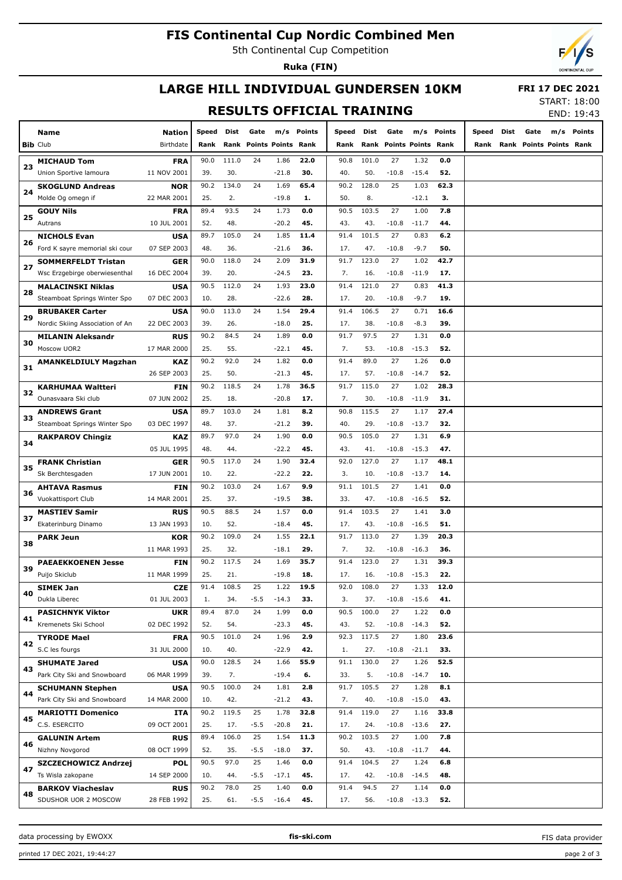## **FIS Continental Cup Nordic Combined Men**

5th Continental Cup Competition

**Ruka (FIN)**



# **LARGE HILL INDIVIDUAL GUNDERSEN 10KM**

 **FRI 17 DEC 2021**

## **RESULTS OFFICIAL TRAINING**

START: 18:00 END: 19:43

|    | <b>Name</b>                       | <b>Nation</b> | Speed       | Dist         | Gate                    |                 | m/s Points  | Speed       | Dist         | Gate                    | m/s             | <b>Points</b> | Speed | Dist | Gate                    | m/s | Points |
|----|-----------------------------------|---------------|-------------|--------------|-------------------------|-----------------|-------------|-------------|--------------|-------------------------|-----------------|---------------|-------|------|-------------------------|-----|--------|
|    | <b>Bib Club</b>                   | Birthdate     | Rank        |              | Rank Points Points Rank |                 |             | Rank        |              | Rank Points Points Rank |                 |               | Rank  |      | Rank Points Points Rank |     |        |
| 23 | <b>MICHAUD Tom</b>                | <b>FRA</b>    | 90.0        | 111.0        | 24                      | 1.86            | 22.0        | 90.8        | 101.0        | 27                      | 1.32            | 0.0           |       |      |                         |     |        |
|    | Union Sportive lamoura            | 11 NOV 2001   | 39.         | 30.          |                         | $-21.8$         | 30.         | 40.         | 50.          | $-10.8$                 | $-15.4$         | 52.           |       |      |                         |     |        |
| 24 | <b>SKOGLUND Andreas</b>           | <b>NOR</b>    | 90.2        | 134.0        | 24                      | 1.69            | 65.4        | 90.2        | 128.0        | 25                      | 1.03            | 62.3          |       |      |                         |     |        |
|    | Molde Og omegn if                 | 22 MAR 2001   | 25.         | 2.           |                         | $-19.8$         | 1.          | 50.         | 8.           |                         | $-12.1$         | З.            |       |      |                         |     |        |
| 25 | <b>GOUY Nils</b>                  | <b>FRA</b>    | 89.4        | 93.5         | 24                      | 1.73            | 0.0         | 90.5        | 103.5        | 27                      | 1.00            | 7.8           |       |      |                         |     |        |
|    | Autrans                           | 10 JUL 2001   | 52.         | 48.          |                         | $-20.2$         | 45.         | 43.         | 43.          | $-10.8$                 | $-11.7$         | 44.           |       |      |                         |     |        |
| 26 | <b>NICHOLS Evan</b>               | <b>USA</b>    | 89.7        | 105.0        | 24                      | 1.85            | 11.4        | 91.4        | 101.5        | 27                      | 0.83            | 6.2           |       |      |                         |     |        |
|    | Ford K sayre memorial ski cour    | 07 SEP 2003   | 48.         | 36.          |                         | $-21.6$         | 36.         | 17.         | 47.          | $-10.8$                 | $-9.7$          | 50.           |       |      |                         |     |        |
|    | <b>SOMMERFELDT Tristan</b>        | <b>GER</b>    | 90.0        | 118.0        | 24                      | 2.09            | 31.9        | 91.7        | 123.0        | 27                      | 1.02            | 42.7          |       |      |                         |     |        |
| 27 | Wsc Erzgebirge oberwiesenthal     | 16 DEC 2004   | 39.         | 20.          |                         | $-24.5$         | 23.         | 7.          | 16.          | $-10.8$                 | $-11.9$         | 17.           |       |      |                         |     |        |
|    | <b>MALACINSKI Niklas</b>          | <b>USA</b>    | 90.5        | 112.0        | 24                      | 1.93            | 23.0        | 91.4        | 121.0        | 27                      | 0.83            | 41.3          |       |      |                         |     |        |
| 28 | Steamboat Springs Winter Spo      | 07 DEC 2003   | 10.         | 28.          |                         | $-22.6$         | 28.         | 17.         | 20.          | $-10.8$                 | $-9.7$          | 19.           |       |      |                         |     |        |
|    | <b>BRUBAKER Carter</b>            | <b>USA</b>    | 90.0        | 113.0        | 24                      | 1.54            | 29.4        | 91.4        | 106.5        | 27                      | 0.71            | 16.6          |       |      |                         |     |        |
| 29 | Nordic Skiing Association of An   | 22 DEC 2003   | 39.         | 26.          |                         | $-18.0$         | 25.         | 17.         | 38.          | $-10.8$                 | $-8.3$          | 39.           |       |      |                         |     |        |
|    | <b>MILANIN Aleksandr</b>          | <b>RUS</b>    | 90.2        | 84.5         | 24                      | 1.89            | 0.0         | 91.7        | 97.5         | 27                      | 1.31            | 0.0           |       |      |                         |     |        |
| 30 | Moscow UOR2                       | 17 MAR 2000   | 25.         | 55.          |                         | $-22.1$         | 45.         | 7.          | 53.          | $-10.8$                 | $-15.3$         | 52.           |       |      |                         |     |        |
|    | <b>AMANKELDIULY Magzhan</b>       | KAZ           | 90.2        | 92.0         | 24                      | 1.82            | 0.0         | 91.4        | 89.0         | 27                      | 1.26            | 0.0           |       |      |                         |     |        |
| 31 |                                   | 26 SEP 2003   | 25.         | 50.          |                         | $-21.3$         | 45.         | 17.         | 57.          | $-10.8$                 | $-14.7$         | 52.           |       |      |                         |     |        |
|    | <b>KARHUMAA Waltteri</b>          | <b>FIN</b>    | 90.2        | 118.5        | 24                      | 1.78            | 36.5        | 91.7        | 115.0        | 27                      | 1.02            | 28.3          |       |      |                         |     |        |
| 32 | Ounasyaara Ski club               | 07 JUN 2002   | 25.         | 18.          |                         | $-20.8$         | 17.         | 7.          | 30.          | $-10.8$                 | $-11.9$         | 31.           |       |      |                         |     |        |
|    | <b>ANDREWS Grant</b>              | <b>USA</b>    | 89.7        | 103.0        | 24                      | 1.81            | 8.2         | 90.8        | 115.5        | 27                      | 1.17            | 27.4          |       |      |                         |     |        |
| 33 | Steamboat Springs Winter Spo      | 03 DEC 1997   | 48.         | 37.          |                         | $-21.2$         | 39.         | 40.         | 29.          | $-10.8$                 | $-13.7$         | 32.           |       |      |                         |     |        |
|    | <b>RAKPAROV Chingiz</b>           | KAZ           | 89.7        | 97.0         | 24                      | 1.90            | 0.0         | 90.5        | 105.0        | 27                      | 1.31            | 6.9           |       |      |                         |     |        |
| 34 |                                   | 05 JUL 1995   | 48.         | 44.          |                         | $-22.2$         | 45.         | 43.         | 41.          | $-10.8$                 | $-15.3$         | 47.           |       |      |                         |     |        |
|    | <b>FRANK Christian</b>            | <b>GER</b>    | 90.5        | 117.0        | 24                      | 1.90            | 32.4        | 92.0        | 127.0        | 27                      | 1.17            | 48.1          |       |      |                         |     |        |
| 35 | Sk Berchtesgaden                  | 17 JUN 2001   | 10.         | 22.          |                         | $-22.2$         | 22.         | 3.          | 10.          | $-10.8$                 | $-13.7$         | 14.           |       |      |                         |     |        |
|    | <b>AHTAVA Rasmus</b>              | <b>FIN</b>    | 90.2        | 103.0        | 24                      | 1.67            | 9.9         | 91.1        | 101.5        | 27                      | 1.41            | 0.0           |       |      |                         |     |        |
| 36 | <b>Vuokattisport Club</b>         | 14 MAR 2001   | 25.         | 37.          |                         | $-19.5$         | 38.         | 33.         | 47.          | $-10.8$                 | $-16.5$         | 52.           |       |      |                         |     |        |
|    | <b>MASTIEV Samir</b>              | <b>RUS</b>    | 90.5        | 88.5         | 24                      | 1.57            | 0.0         | 91.4        | 103.5        | 27                      | 1.41            | 3.0           |       |      |                         |     |        |
| 37 | Ekaterinburg Dinamo               | 13 JAN 1993   | 10.         | 52.          |                         | $-18.4$         | 45.         | 17.         | 43.          | $-10.8$                 | $-16.5$         | 51.           |       |      |                         |     |        |
|    |                                   | <b>KOR</b>    | 90.2        | 109.0        | 24                      | 1.55            | 22.1        | 91.7        | 113.0        | 27                      | 1.39            | 20.3          |       |      |                         |     |        |
| 38 | <b>PARK Jeun</b>                  | 11 MAR 1993   | 25.         | 32.          |                         | $-18.1$         | 29.         | 7.          | 32.          | $-10.8$                 | $-16.3$         | 36.           |       |      |                         |     |        |
|    |                                   |               | 90.2        | 117.5        | 24                      | 1.69            | 35.7        | 91.4        | 123.0        | 27                      | 1.31            | 39.3          |       |      |                         |     |        |
| 39 | <b>PAEAEKKOENEN Jesse</b>         | <b>FIN</b>    |             |              |                         |                 |             |             |              |                         |                 |               |       |      |                         |     |        |
|    | Puijo Skiclub                     | 11 MAR 1999   | 25.<br>91.4 | 21.<br>108.5 | 25                      | $-19.8$<br>1.22 | 18.<br>19.5 | 17.<br>92.0 | 16.<br>108.0 | $-10.8$<br>27           | $-15.3$<br>1.33 | 22.           |       |      |                         |     |        |
| 40 | <b>SIMEK Jan</b><br>Dukla Liberec | <b>CZE</b>    |             |              |                         |                 |             |             |              |                         |                 | 12.0          |       |      |                         |     |        |
|    |                                   | 01 JUL 2003   | 1.          | 34.          | $-5.5$                  | $-14.3$         | 33.         | 3.          | 37.          | $-10.8$                 | $-15.6$         | 41.           |       |      |                         |     |        |
| 41 | <b>PASICHNYK Viktor</b>           | <b>UKR</b>    | 89.4        | 87.0         | 24                      | 1.99            | 0.0         | 90.5        | 100.0        | 27                      | 1.22            | 0.0           |       |      |                         |     |        |
|    | Kremenets Ski School              | 02 DEC 1992   | 52.         | 54.          |                         | $-23.3$         | 45.         | 43.         | 52.          | $-10.8$                 | $-14.3$         | 52.           |       |      |                         |     |        |
| 42 | <b>TYRODE Mael</b>                | <b>FRA</b>    | 90.5        | 101.0        | 24                      | 1.96            | 2.9         | 92.3        | 117.5        | 27                      | 1.80            | 23.6          |       |      |                         |     |        |
|    | S.C les fourgs                    | 31 JUL 2000   | 10.         | 40.          |                         | $-22.9$         | 42.         | 1.          | 27.          | $-10.8$                 | $-21.1$         | 33.           |       |      |                         |     |        |
| 43 | <b>SHUMATE Jared</b>              | <b>USA</b>    | 90.0        | 128.5        | 24                      | 1.66            | 55.9        | 91.1        | 130.0        | 27                      | 1.26            | 52.5          |       |      |                         |     |        |
|    | Park City Ski and Snowboard       | 06 MAR 1999   | 39.         | 7.           |                         | $-19.4$         | 6.          | 33.         | 5.           | $-10.8$                 | $-14.7$         | 10.           |       |      |                         |     |        |
| 44 | <b>SCHUMANN Stephen</b>           | <b>USA</b>    | 90.5        | 100.0        | 24                      | 1.81            | 2.8         | 91.7        | 105.5        | 27                      | 1.28            | 8.1           |       |      |                         |     |        |
|    | Park City Ski and Snowboard       | 14 MAR 2000   | 10.         | 42.          |                         | $-21.2$         | 43.         | 7.          | 40.          | $-10.8$                 | $-15.0$         | 43.           |       |      |                         |     |        |
| 45 | <b>MARIOTTI Domenico</b>          | ITA           | 90.2        | 119.5        | 25                      | 1.78            | 32.8        | 91.4        | 119.0        | 27                      | 1.16            | 33.8          |       |      |                         |     |        |
|    | C.S. ESERCITO                     | 09 OCT 2001   | 25.         | 17.          | $-5.5$                  | $-20.8$         | 21.         | 17.         | 24.          | $-10.8$                 | $-13.6$         | 27.           |       |      |                         |     |        |
| 46 | <b>GALUNIN Artem</b>              | <b>RUS</b>    | 89.4        | 106.0        | 25                      | 1.54            | 11.3        | 90.2        | 103.5        | 27                      | 1.00            | 7.8           |       |      |                         |     |        |
|    | Nizhny Novgorod                   | 08 OCT 1999   | 52.         | 35.          | $-5.5$                  | $-18.0$         | 37.         | 50.         | 43.          | $-10.8$                 | $-11.7$         | 44.           |       |      |                         |     |        |
| 47 | SZCZECHOWICZ Andrzej              | POL           | 90.5        | 97.0         | 25                      | 1.46            | 0.0         | 91.4        | 104.5        | 27                      | 1.24            | 6.8           |       |      |                         |     |        |
|    | Ts Wisla zakopane                 | 14 SEP 2000   | 10.         | 44.          | $-5.5$                  | $-17.1$         | 45.         | 17.         | 42.          | $-10.8$                 | $-14.5$         | 48.           |       |      |                         |     |        |
| 48 | <b>BARKOV Viacheslav</b>          | <b>RUS</b>    | 90.2        | 78.0         | 25                      | 1.40            | 0.0         | 91.4        | 94.5         | 27                      | 1.14            | 0.0           |       |      |                         |     |        |
|    | SDUSHOR UOR 2 MOSCOW              | 28 FEB 1992   | 25.         | 61.          | $-5.5$                  | $-16.4$         | 45.         | 17.         | 56.          | $-10.8$                 | $-13.3$         | 52.           |       |      |                         |     |        |

data processing by EWOXX **fis-ski.com**

FIS data provider